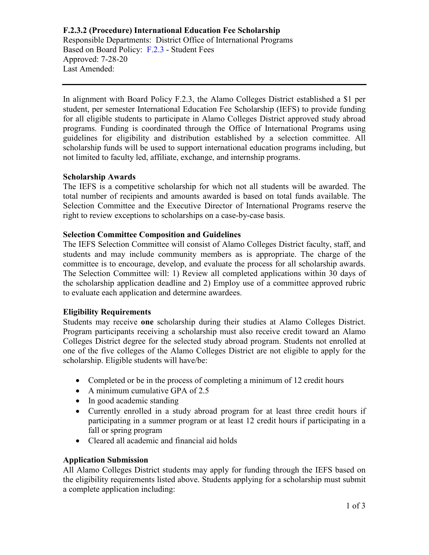**F.2.3.2 (Procedure) International Education Fee Scholarship** Responsible Departments: District Office of International Programs Based on Board Policy: [F.2.3](http://www.alamo.edu/uploadedFiles/District/Employees/Departments/Ethics/pdf/policies/F.2.3-Policy.pdf) - Student Fees Approved: 7-28-20 Last Amended:

In alignment with Board Policy F.2.3, the Alamo Colleges District established a \$1 per student, per semester International Education Fee Scholarship (IEFS) to provide funding for all eligible students to participate in Alamo Colleges District approved study abroad programs. Funding is coordinated through the Office of International Programs using guidelines for eligibility and distribution established by a selection committee. All scholarship funds will be used to support international education programs including, but not limited to faculty led, affiliate, exchange, and internship programs.

#### **Scholarship Awards**

The IEFS is a competitive scholarship for which not all students will be awarded. The total number of recipients and amounts awarded is based on total funds available. The Selection Committee and the Executive Director of International Programs reserve the right to review exceptions to scholarships on a case-by-case basis.

#### **Selection Committee Composition and Guidelines**

The IEFS Selection Committee will consist of Alamo Colleges District faculty, staff, and students and may include community members as is appropriate. The charge of the committee is to encourage, develop, and evaluate the process for all scholarship awards. The Selection Committee will: 1) Review all completed applications within 30 days of the scholarship application deadline and 2) Employ use of a committee approved rubric to evaluate each application and determine awardees.

#### **Eligibility Requirements**

Students may receive **one** scholarship during their studies at Alamo Colleges District. Program participants receiving a scholarship must also receive credit toward an Alamo Colleges District degree for the selected study abroad program. Students not enrolled at one of the five colleges of the Alamo Colleges District are not eligible to apply for the scholarship. Eligible students will have/be:

- Completed or be in the process of completing a minimum of 12 credit hours
- A minimum cumulative GPA of 2.5
- In good academic standing
- Currently enrolled in a study abroad program for at least three credit hours if participating in a summer program or at least 12 credit hours if participating in a fall or spring program
- Cleared all academic and financial aid holds

### **Application Submission**

All Alamo Colleges District students may apply for funding through the IEFS based on the eligibility requirements listed above. Students applying for a scholarship must submit a complete application including: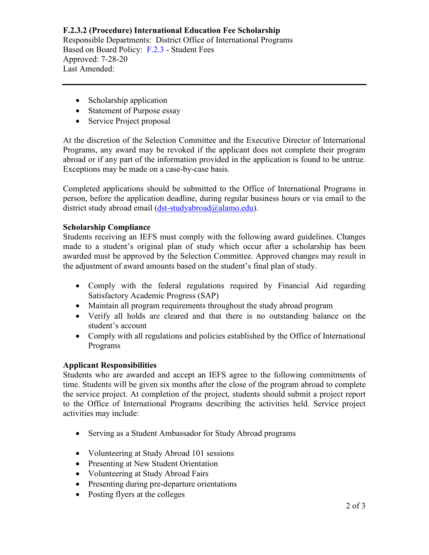### **F.2.3.2 (Procedure) International Education Fee Scholarship** Responsible Departments: District Office of International Programs Based on Board Policy: [F.2.3](http://www.alamo.edu/uploadedFiles/District/Employees/Departments/Ethics/pdf/policies/F.2.3-Policy.pdf) - Student Fees Approved: 7-28-20 Last Amended:

- Scholarship application
- Statement of Purpose essay
- Service Project proposal

At the discretion of the Selection Committee and the Executive Director of International Programs, any award may be revoked if the applicant does not complete their program abroad or if any part of the information provided in the application is found to be untrue. Exceptions may be made on a case-by-case basis.

Completed applications should be submitted to the Office of International Programs in person, before the application deadline, during regular business hours or via email to the district study abroad email [\(dst-studyabroad@alamo.edu\)](mailto:dst-studyabroad@alamo.edu).

## **Scholarship Compliance**

Students receiving an IEFS must comply with the following award guidelines. Changes made to a student's original plan of study which occur after a scholarship has been awarded must be approved by the Selection Committee. Approved changes may result in the adjustment of award amounts based on the student's final plan of study.

- Comply with the federal regulations required by Financial Aid regarding Satisfactory Academic Progress (SAP)
- Maintain all program requirements throughout the study abroad program
- Verify all holds are cleared and that there is no outstanding balance on the student's account
- Comply with all regulations and policies established by the Office of International Programs

## **Applicant Responsibilities**

Students who are awarded and accept an IEFS agree to the following commitments of time. Students will be given six months after the close of the program abroad to complete the service project. At completion of the project, students should submit a project report to the Office of International Programs describing the activities held. Service project activities may include:

- Serving as a Student Ambassador for Study Abroad programs
- Volunteering at Study Abroad 101 sessions
- Presenting at New Student Orientation
- Volunteering at Study Abroad Fairs
- Presenting during pre-departure orientations
- Posting flyers at the colleges